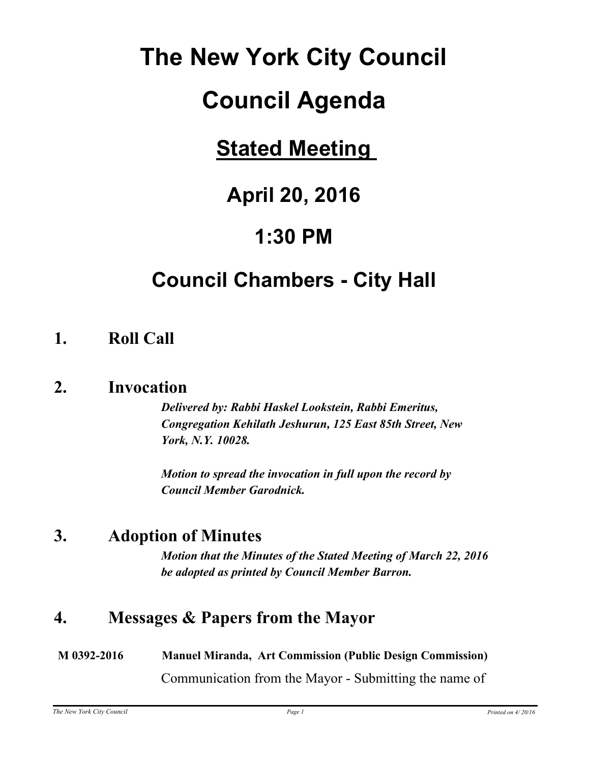# **The New York City Council**

# **Council Agenda**

# **Stated Meeting**

# **April 20, 2016**

# **1:30 PM**

# **Council Chambers - City Hall**

# **1. Roll Call**

## **2. Invocation**

*Delivered by: Rabbi Haskel Lookstein, Rabbi Emeritus, Congregation Kehilath Jeshurun, 125 East 85th Street, New York, N.Y. 10028.*

*Motion to spread the invocation in full upon the record by Council Member Garodnick.*

# **3. Adoption of Minutes**

*Motion that the Minutes of the Stated Meeting of March 22, 2016 be adopted as printed by Council Member Barron.*

# **4. Messages & Papers from the Mayor**

**M 0392-2016 Manuel Miranda, Art Commission (Public Design Commission)** Communication from the Mayor - Submitting the name of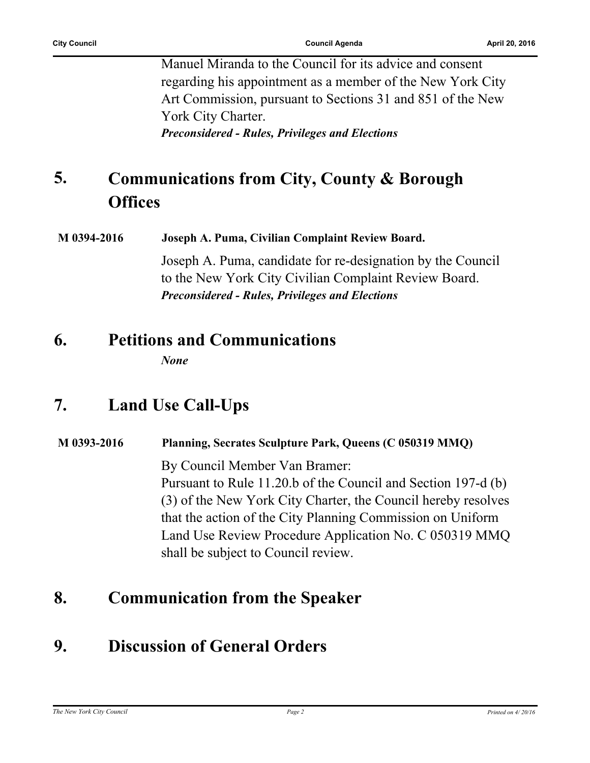Manuel Miranda to the Council for its advice and consent regarding his appointment as a member of the New York City Art Commission, pursuant to Sections 31 and 851 of the New York City Charter.

*Preconsidered - Rules, Privileges and Elections*

#### **Communications from City, County & Borough Offices 5.**

**M 0394-2016 Joseph A. Puma, Civilian Complaint Review Board.** Joseph A. Puma, candidate for re-designation by the Council to the New York City Civilian Complaint Review Board. *Preconsidered - Rules, Privileges and Elections*

# **6. Petitions and Communications**

*None*

# **7. Land Use Call-Ups**

#### **M 0393-2016 Planning, Secrates Sculpture Park, Queens (C 050319 MMQ)**

By Council Member Van Bramer: Pursuant to Rule 11.20.b of the Council and Section 197-d (b) (3) of the New York City Charter, the Council hereby resolves that the action of the City Planning Commission on Uniform Land Use Review Procedure Application No. C 050319 MMQ shall be subject to Council review.

## **8. Communication from the Speaker**

# **9. Discussion of General Orders**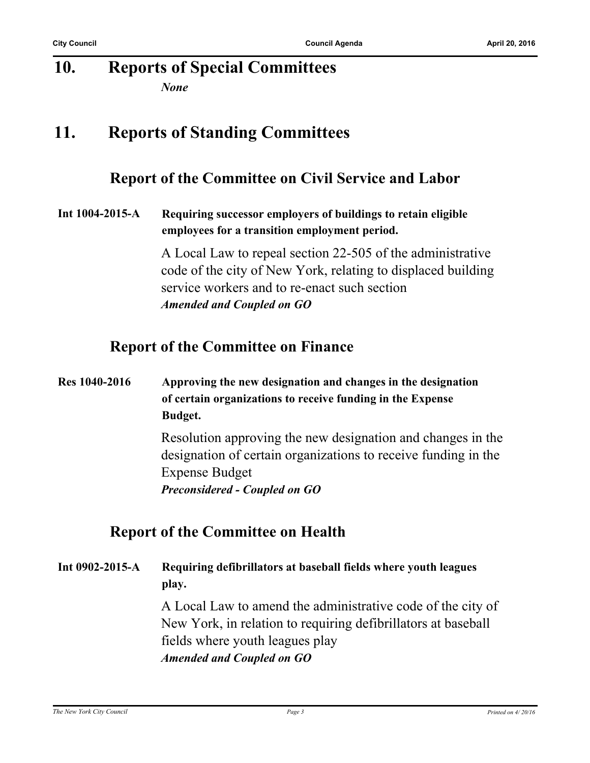#### **10. Reports of Special Committees** *None*

## **11. Reports of Standing Committees**

### **Report of the Committee on Civil Service and Labor**

**Int 1004-2015-A Requiring successor employers of buildings to retain eligible employees for a transition employment period.**

> A Local Law to repeal section 22-505 of the administrative code of the city of New York, relating to displaced building service workers and to re-enact such section *Amended and Coupled on GO*

### **Report of the Committee on Finance**

**Res 1040-2016 Approving the new designation and changes in the designation of certain organizations to receive funding in the Expense Budget.**

> Resolution approving the new designation and changes in the designation of certain organizations to receive funding in the Expense Budget *Preconsidered - Coupled on GO*

### **Report of the Committee on Health**

**Int 0902-2015-A Requiring defibrillators at baseball fields where youth leagues play.**

> A Local Law to amend the administrative code of the city of New York, in relation to requiring defibrillators at baseball fields where youth leagues play *Amended and Coupled on GO*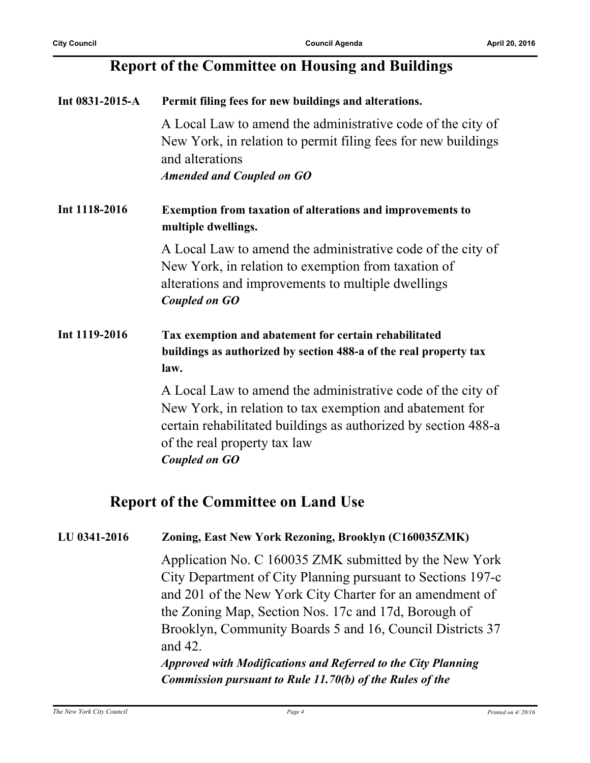### **Report of the Committee on Housing and Buildings**

| Int $0831 - 2015 - A$ | Permit filing fees for new buildings and alterations.                                                                                                                                                                                             |
|-----------------------|---------------------------------------------------------------------------------------------------------------------------------------------------------------------------------------------------------------------------------------------------|
|                       | A Local Law to amend the administrative code of the city of<br>New York, in relation to permit filing fees for new buildings<br>and alterations<br><b>Amended and Coupled on GO</b>                                                               |
| Int 1118-2016         | <b>Exemption from taxation of alterations and improvements to</b><br>multiple dwellings.                                                                                                                                                          |
|                       | A Local Law to amend the administrative code of the city of<br>New York, in relation to exemption from taxation of<br>alterations and improvements to multiple dwellings<br><b>Coupled on GO</b>                                                  |
| Int 1119-2016         | Tax exemption and abatement for certain rehabilitated<br>buildings as authorized by section 488-a of the real property tax<br>law.                                                                                                                |
|                       | A Local Law to amend the administrative code of the city of<br>New York, in relation to tax exemption and abatement for<br>certain rehabilitated buildings as authorized by section 488-a<br>of the real property tax law<br><b>Coupled on GO</b> |

### **Report of the Committee on Land Use**

#### **LU 0341-2016 Zoning, East New York Rezoning, Brooklyn (C160035ZMK)**

Application No. C 160035 ZMK submitted by the New York City Department of City Planning pursuant to Sections 197-c and 201 of the New York City Charter for an amendment of the Zoning Map, Section Nos. 17c and 17d, Borough of Brooklyn, Community Boards 5 and 16, Council Districts 37 and 42.

*Approved with Modifications and Referred to the City Planning Commission pursuant to Rule 11.70(b) of the Rules of the*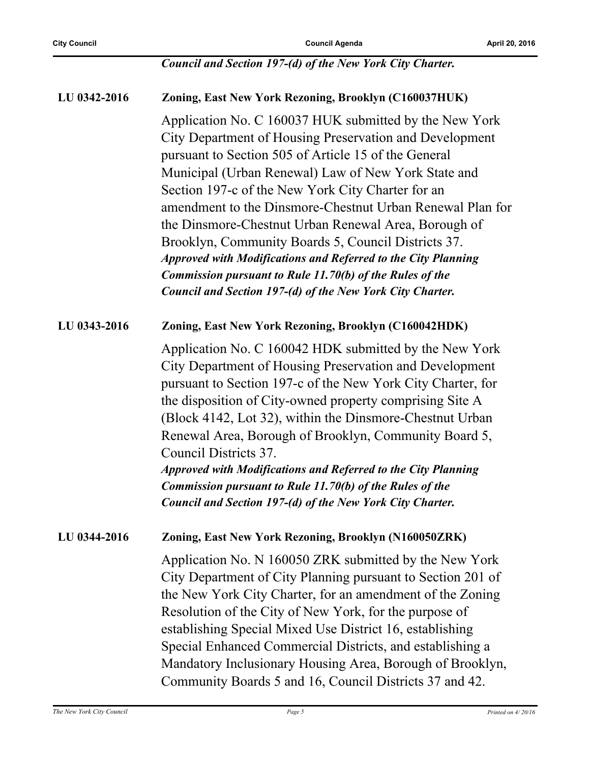#### *Council and Section 197-(d) of the New York City Charter.*

**LU 0342-2016 Zoning, East New York Rezoning, Brooklyn (C160037HUK)** Application No. C 160037 HUK submitted by the New York City Department of Housing Preservation and Development pursuant to Section 505 of Article 15 of the General Municipal (Urban Renewal) Law of New York State and Section 197-c of the New York City Charter for an amendment to the Dinsmore-Chestnut Urban Renewal Plan for the Dinsmore-Chestnut Urban Renewal Area, Borough of Brooklyn, Community Boards 5, Council Districts 37. *Approved with Modifications and Referred to the City Planning Commission pursuant to Rule 11.70(b) of the Rules of the Council and Section 197-(d) of the New York City Charter.* **LU 0343-2016 Zoning, East New York Rezoning, Brooklyn (C160042HDK)** Application No. C 160042 HDK submitted by the New York City Department of Housing Preservation and Development pursuant to Section 197-c of the New York City Charter, for the disposition of City-owned property comprising Site A (Block 4142, Lot 32), within the Dinsmore-Chestnut Urban Renewal Area, Borough of Brooklyn, Community Board 5, Council Districts 37. *Approved with Modifications and Referred to the City Planning Commission pursuant to Rule 11.70(b) of the Rules of the Council and Section 197-(d) of the New York City Charter.* **LU 0344-2016 Zoning, East New York Rezoning, Brooklyn (N160050ZRK)** Application No. N 160050 ZRK submitted by the New York City Department of City Planning pursuant to Section 201 of the New York City Charter, for an amendment of the Zoning Resolution of the City of New York, for the purpose of establishing Special Mixed Use District 16, establishing Special Enhanced Commercial Districts, and establishing a Mandatory Inclusionary Housing Area, Borough of Brooklyn, Community Boards 5 and 16, Council Districts 37 and 42.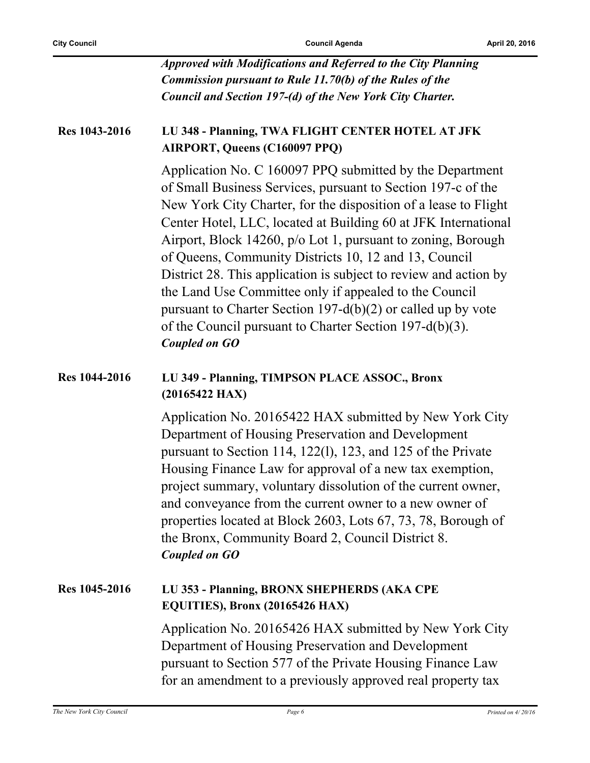| Approved with Modifications and Referred to the City Planning   |
|-----------------------------------------------------------------|
| <b>Commission pursuant to Rule 11.70(b) of the Rules of the</b> |
| Council and Section 197-(d) of the New York City Charter.       |

#### **Res 1043-2016 LU 348 - Planning, TWA FLIGHT CENTER HOTEL AT JFK AIRPORT, Queens (C160097 PPQ)**

Application No. C 160097 PPQ submitted by the Department of Small Business Services, pursuant to Section 197-c of the New York City Charter, for the disposition of a lease to Flight Center Hotel, LLC, located at Building 60 at JFK International Airport, Block 14260, p/o Lot 1, pursuant to zoning, Borough of Queens, Community Districts 10, 12 and 13, Council District 28. This application is subject to review and action by the Land Use Committee only if appealed to the Council pursuant to Charter Section 197-d(b)(2) or called up by vote of the Council pursuant to Charter Section 197-d(b)(3). *Coupled on GO*

#### **Res 1044-2016 LU 349 - Planning, TIMPSON PLACE ASSOC., Bronx (20165422 HAX)**

Application No. 20165422 HAX submitted by New York City Department of Housing Preservation and Development pursuant to Section 114, 122(l), 123, and 125 of the Private Housing Finance Law for approval of a new tax exemption, project summary, voluntary dissolution of the current owner, and conveyance from the current owner to a new owner of properties located at Block 2603, Lots 67, 73, 78, Borough of the Bronx, Community Board 2, Council District 8. *Coupled on GO*

#### **Res 1045-2016 LU 353 - Planning, BRONX SHEPHERDS (AKA CPE EQUITIES), Bronx (20165426 HAX)**

Application No. 20165426 HAX submitted by New York City Department of Housing Preservation and Development pursuant to Section 577 of the Private Housing Finance Law for an amendment to a previously approved real property tax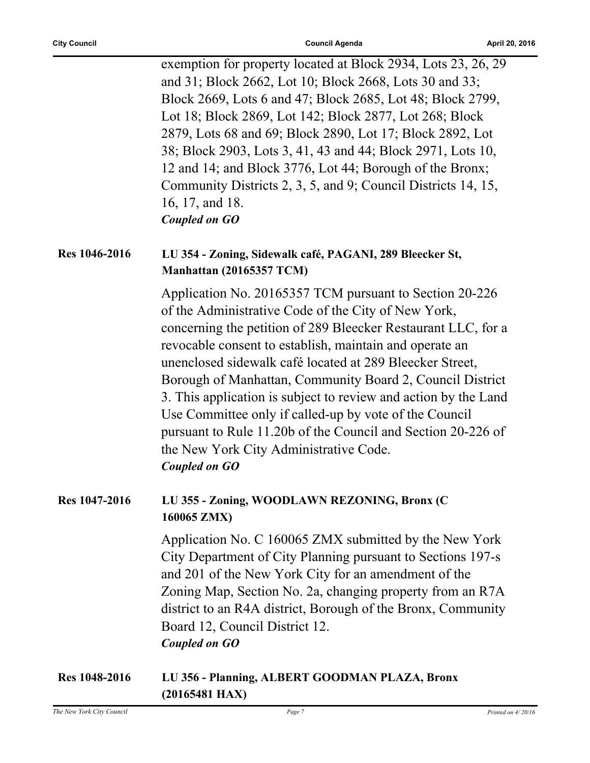| exemption for property located at Block 2934, Lots 23, 26, 29 |
|---------------------------------------------------------------|
| and 31; Block 2662, Lot 10; Block 2668, Lots 30 and 33;       |
| Block 2669, Lots 6 and 47; Block 2685, Lot 48; Block 2799,    |
| Lot 18; Block 2869, Lot 142; Block 2877, Lot 268; Block       |
| 2879, Lots 68 and 69; Block 2890, Lot 17; Block 2892, Lot     |
| 38; Block 2903, Lots 3, 41, 43 and 44; Block 2971, Lots 10,   |
| 12 and 14; and Block 3776, Lot 44; Borough of the Bronx;      |
| Community Districts 2, 3, 5, and 9; Council Districts 14, 15, |
| 16, 17, and 18.                                               |
| Coupled on GO                                                 |

#### **Res 1046-2016 LU 354 - Zoning, Sidewalk café, PAGANI, 289 Bleecker St, Manhattan (20165357 TCM)**

Application No. 20165357 TCM pursuant to Section 20-226 of the Administrative Code of the City of New York, concerning the petition of 289 Bleecker Restaurant LLC, for a revocable consent to establish, maintain and operate an unenclosed sidewalk café located at 289 Bleecker Street, Borough of Manhattan, Community Board 2, Council District 3. This application is subject to review and action by the Land Use Committee only if called-up by vote of the Council pursuant to Rule 11.20b of the Council and Section 20-226 of the New York City Administrative Code. *Coupled on GO*

#### **Res 1047-2016 LU 355 - Zoning, WOODLAWN REZONING, Bronx (C 160065 ZMX)**

Application No. C 160065 ZMX submitted by the New York City Department of City Planning pursuant to Sections 197-s and 201 of the New York City for an amendment of the Zoning Map, Section No. 2a, changing property from an R7A district to an R4A district, Borough of the Bronx, Community Board 12, Council District 12. *Coupled on GO*

#### **Res 1048-2016 LU 356 - Planning, ALBERT GOODMAN PLAZA, Bronx (20165481 HAX)**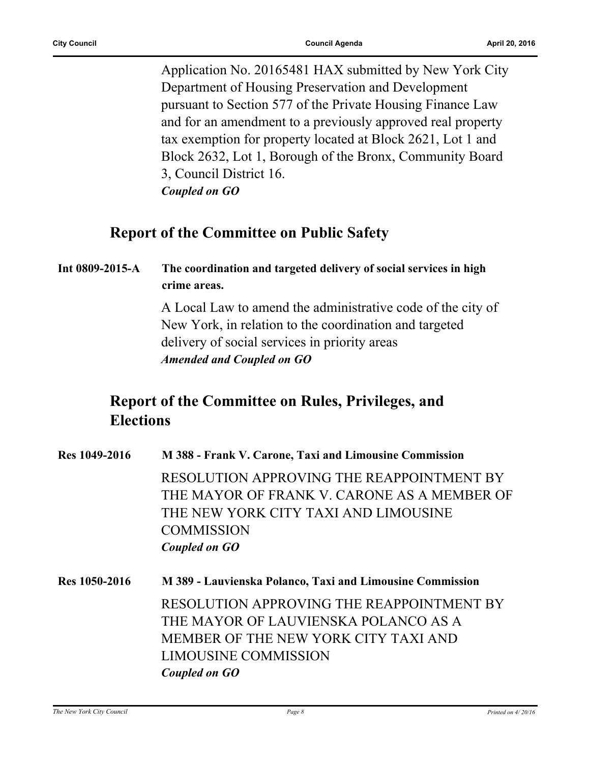Application No. 20165481 HAX submitted by New York City Department of Housing Preservation and Development pursuant to Section 577 of the Private Housing Finance Law and for an amendment to a previously approved real property tax exemption for property located at Block 2621, Lot 1 and Block 2632, Lot 1, Borough of the Bronx, Community Board 3, Council District 16. *Coupled on GO*

### **Report of the Committee on Public Safety**

#### **Int 0809-2015-A The coordination and targeted delivery of social services in high crime areas.**

A Local Law to amend the administrative code of the city of New York, in relation to the coordination and targeted delivery of social services in priority areas *Amended and Coupled on GO*

### **Report of the Committee on Rules, Privileges, and Elections**

| Res 1049-2016 | M 388 - Frank V. Carone, Taxi and Limousine Commission    |
|---------------|-----------------------------------------------------------|
|               | RESOLUTION APPROVING THE REAPPOINTMENT BY                 |
|               | THE MAYOR OF FRANK V. CARONE AS A MEMBER OF               |
|               | THE NEW YORK CITY TAXI AND LIMOUSINE                      |
|               | <b>COMMISSION</b>                                         |
|               | Coupled on GO                                             |
| Res 1050-2016 | M 389 - Lauvienska Polanco, Taxi and Limousine Commission |
|               | RESOLUTION APPROVING THE REAPPOINTMENT BY                 |
|               | THE MAYOR OF LAUVIENSKA POLANCO AS A                      |
|               | MEMBER OF THE NEW YORK CITY TAXI AND                      |
|               | LIMOUSINE COMMISSION                                      |
|               | Coupled on GO                                             |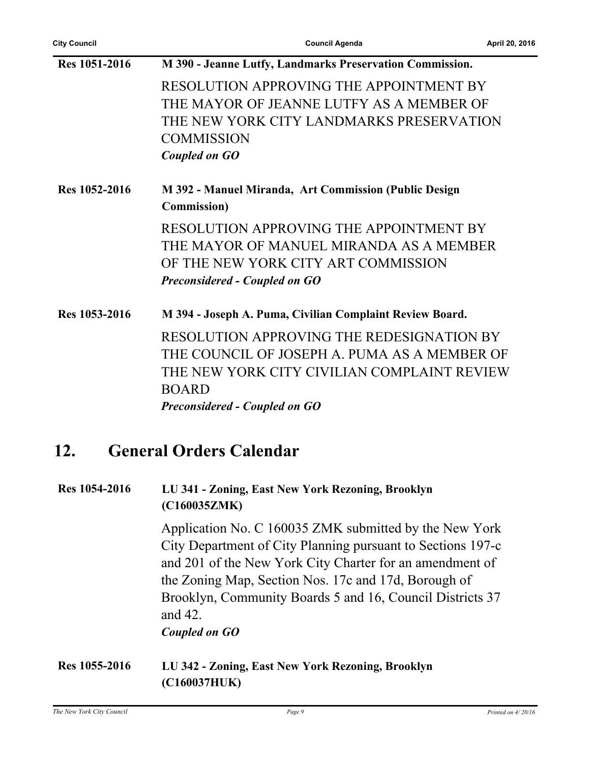| M 390 - Jeanne Lutfy, Landmarks Preservation Commission. |
|----------------------------------------------------------|
| RESOLUTION APPROVING THE APPOINTMENT BY                  |
| THE MAYOR OF JEANNE LUTFY AS A MEMBER OF                 |
| THE NEW YORK CITY LANDMARKS PRESERVATION                 |
| <b>COMMISSION</b>                                        |
| <b>Coupled on GO</b>                                     |
| M 392 - Manuel Miranda, Art Commission (Public Design    |
| <b>Commission</b> )                                      |
| RESOLUTION APPROVING THE APPOINTMENT BY                  |
| THE MAYOR OF MANUEL MIRANDA AS A MEMBER                  |
| OF THE NEW YORK CITY ART COMMISSION                      |
| <b>Preconsidered - Coupled on GO</b>                     |
| M 394 - Joseph A. Puma, Civilian Complaint Review Board. |
| RESOLUTION APPROVING THE REDESIGNATION BY                |
| THE COUNCIL OF JOSEPH A PUMA AS A MEMBER OF              |
| THE NEW YORK CITY CIVILIAN COMPLAINT REVIEW              |
| <b>BOARD</b>                                             |
| <b>Preconsidered - Coupled on GO</b>                     |
| <b>General Orders Calendar</b>                           |
| LU 341 - Zoning, East New York Rezoning, Brooklyn        |
|                                                          |

**(C160035ZMK)**

Application No. C 160035 ZMK submitted by the New York City Department of City Planning pursuant to Sections 197-c and 201 of the New York City Charter for an amendment of the Zoning Map, Section Nos. 17c and 17d, Borough of Brooklyn, Community Boards 5 and 16, Council Districts 37 and 42. *Coupled on GO*

**Res 1055-2016 LU 342 - Zoning, East New York Rezoning, Brooklyn (C160037HUK)**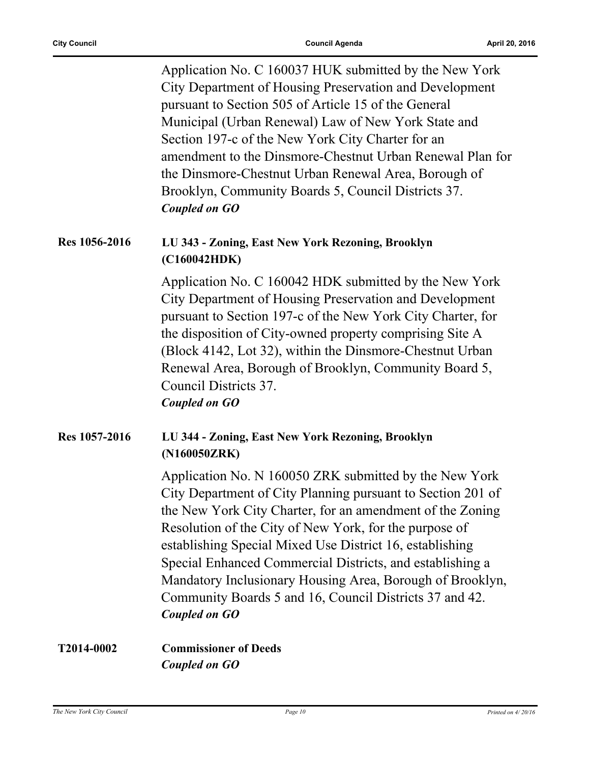Application No. C 160037 HUK submitted by the New York City Department of Housing Preservation and Development pursuant to Section 505 of Article 15 of the General Municipal (Urban Renewal) Law of New York State and Section 197-c of the New York City Charter for an amendment to the Dinsmore-Chestnut Urban Renewal Plan for the Dinsmore-Chestnut Urban Renewal Area, Borough of Brooklyn, Community Boards 5, Council Districts 37. *Coupled on GO*

#### **Res 1056-2016 LU 343 - Zoning, East New York Rezoning, Brooklyn (C160042HDK)**

Application No. C 160042 HDK submitted by the New York City Department of Housing Preservation and Development pursuant to Section 197-c of the New York City Charter, for the disposition of City-owned property comprising Site A (Block 4142, Lot 32), within the Dinsmore-Chestnut Urban Renewal Area, Borough of Brooklyn, Community Board 5, Council Districts 37. *Coupled on GO*

#### **Res 1057-2016 LU 344 - Zoning, East New York Rezoning, Brooklyn (N160050ZRK)**

Application No. N 160050 ZRK submitted by the New York City Department of City Planning pursuant to Section 201 of the New York City Charter, for an amendment of the Zoning Resolution of the City of New York, for the purpose of establishing Special Mixed Use District 16, establishing Special Enhanced Commercial Districts, and establishing a Mandatory Inclusionary Housing Area, Borough of Brooklyn, Community Boards 5 and 16, Council Districts 37 and 42. *Coupled on GO*

#### **T2014-0002 Commissioner of Deeds** *Coupled on GO*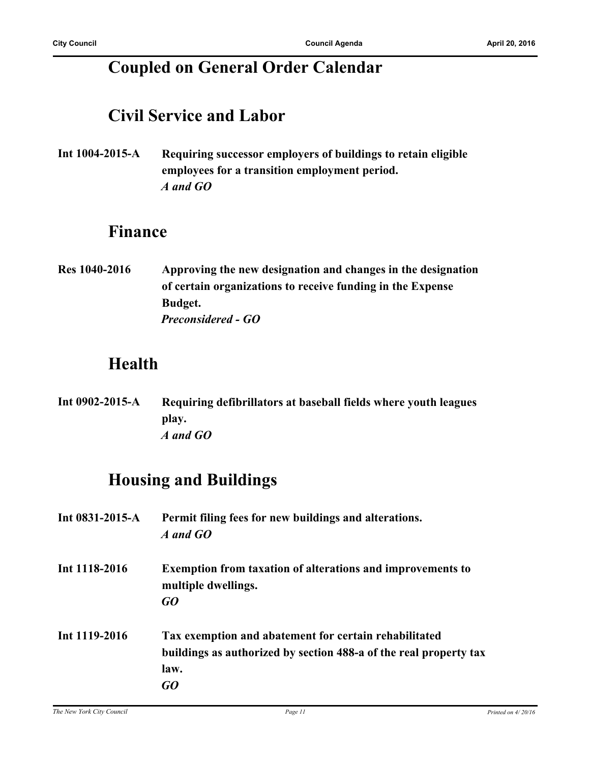# **Coupled on General Order Calendar**

## **Civil Service and Labor**

**Int 1004-2015-A Requiring successor employers of buildings to retain eligible employees for a transition employment period.** *A and GO*

### **Finance**

**Res 1040-2016 Approving the new designation and changes in the designation of certain organizations to receive funding in the Expense Budget.** *Preconsidered - GO*

## **Health**

**Int 0902-2015-A Requiring defibrillators at baseball fields where youth leagues play.** *A and GO*

# **Housing and Buildings**

| Int $0831 - 2015 - A$ | Permit filing fees for new buildings and alterations.<br>A and GO                                                                        |
|-----------------------|------------------------------------------------------------------------------------------------------------------------------------------|
| Int 1118-2016         | <b>Exemption from taxation of alterations and improvements to</b><br>multiple dwellings.<br>GO                                           |
| Int 1119-2016         | Tax exemption and abatement for certain rehabilitated<br>buildings as authorized by section 488-a of the real property tax<br>law.<br>GO |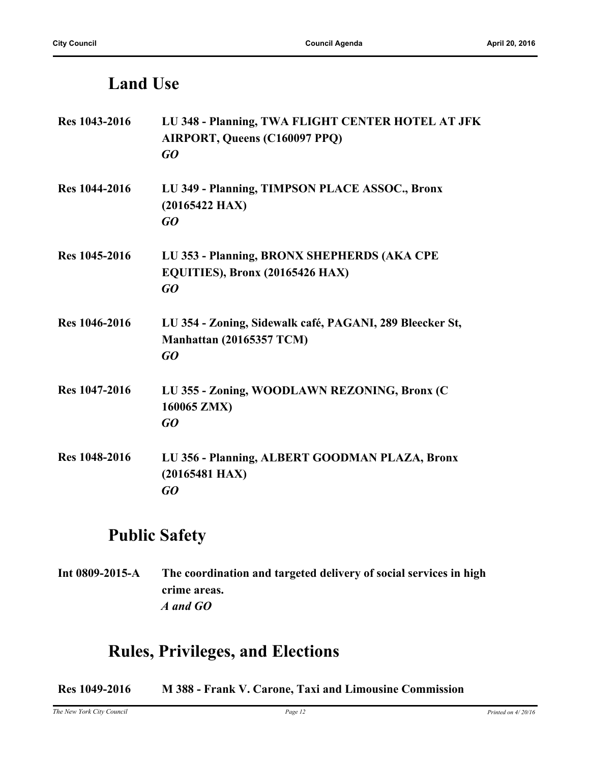# **Land Use**

| Res 1043-2016        | LU 348 - Planning, TWA FLIGHT CENTER HOTEL AT JFK<br>AIRPORT, Queens (C160097 PPQ)<br>GQ   |
|----------------------|--------------------------------------------------------------------------------------------|
| <b>Res</b> 1044-2016 | LU 349 - Planning, TIMPSON PLACE ASSOC., Bronx<br>$(20165422$ HAX)<br>GQ                   |
| Res 1045-2016        | LU 353 - Planning, BRONX SHEPHERDS (AKA CPE<br>EQUITIES), Bronx (20165426 HAX)<br>GQ       |
| <b>Res</b> 1046-2016 | LU 354 - Zoning, Sidewalk café, PAGANI, 289 Bleecker St,<br>Manhattan (20165357 TCM)<br>GQ |
| <b>Res</b> 1047-2016 | LU 355 - Zoning, WOODLAWN REZONING, Bronx (C<br>160065 ZMX)<br>GQ                          |
| <b>Res</b> 1048-2016 | LU 356 - Planning, ALBERT GOODMAN PLAZA, Bronx<br>$(20165481$ HAX)<br>GO                   |

# **Public Safety**

**Int 0809-2015-A The coordination and targeted delivery of social services in high crime areas.** *A and GO*

# **Rules, Privileges, and Elections**

**Res 1049-2016 M 388 - Frank V. Carone, Taxi and Limousine Commission**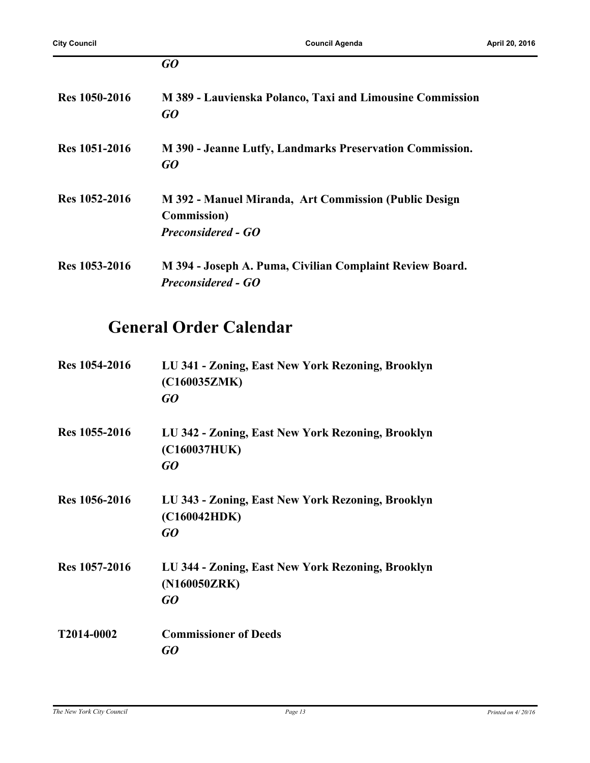|               | GO                                                                                                        |
|---------------|-----------------------------------------------------------------------------------------------------------|
| Res 1050-2016 | M 389 - Lauvienska Polanco, Taxi and Limousine Commission<br>GO                                           |
| Res 1051-2016 | M 390 - Jeanne Lutfy, Landmarks Preservation Commission.<br>GO                                            |
| Res 1052-2016 | M 392 - Manuel Miranda, Art Commission (Public Design<br><b>Commission</b> )<br><b>Preconsidered - GO</b> |
| Res 1053-2016 | M 394 - Joseph A. Puma, Civilian Complaint Review Board.<br><b>Preconsidered - GO</b>                     |

# **General Order Calendar**

| Res 1054-2016 | LU 341 - Zoning, East New York Rezoning, Brooklyn<br>(C160035ZMK)<br>GO |
|---------------|-------------------------------------------------------------------------|
| Res 1055-2016 | LU 342 - Zoning, East New York Rezoning, Brooklyn<br>(C160037HUK)<br>GO |
| Res 1056-2016 | LU 343 - Zoning, East New York Rezoning, Brooklyn<br>(C160042HDK)<br>GO |
| Res 1057-2016 | LU 344 - Zoning, East New York Rezoning, Brooklyn<br>(N160050ZRK)<br>GO |
| T2014-0002    | <b>Commissioner of Deeds</b><br>GO                                      |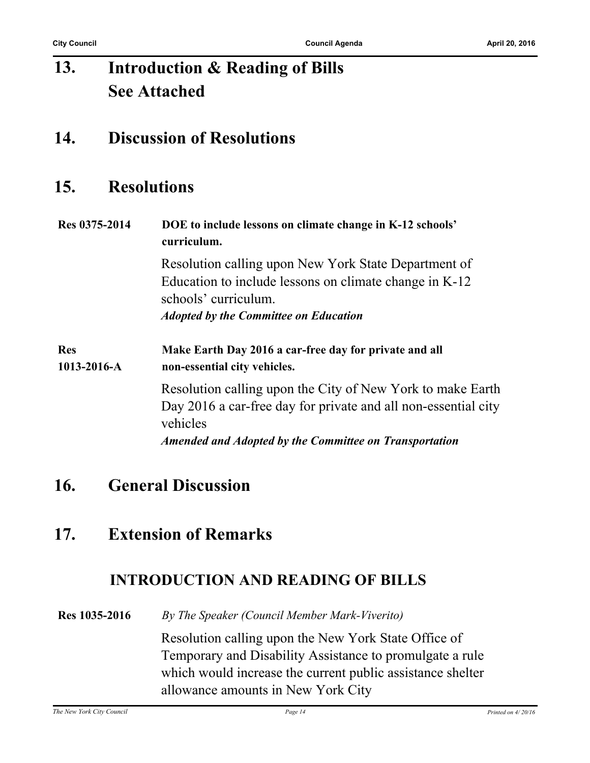#### **Introduction & Reading of Bills See Attached 13.**

## **14. Discussion of Resolutions**

### **15. Resolutions**

#### **Res 0375-2014 DOE to include lessons on climate change in K-12 schools' curriculum.**

Resolution calling upon New York State Department of Education to include lessons on climate change in K-12 schools' curriculum. *Adopted by the Committee on Education*

**Res 1013-2016-A Make Earth Day 2016 a car-free day for private and all non-essential city vehicles.**

> Resolution calling upon the City of New York to make Earth Day 2016 a car-free day for private and all non-essential city vehicles *Amended and Adopted by the Committee on Transportation*

### **16. General Discussion**

### **17. Extension of Remarks**

### **INTRODUCTION AND READING OF BILLS**

**Res 1035-2016** *By The Speaker (Council Member Mark-Viverito)*

Resolution calling upon the New York State Office of Temporary and Disability Assistance to promulgate a rule which would increase the current public assistance shelter allowance amounts in New York City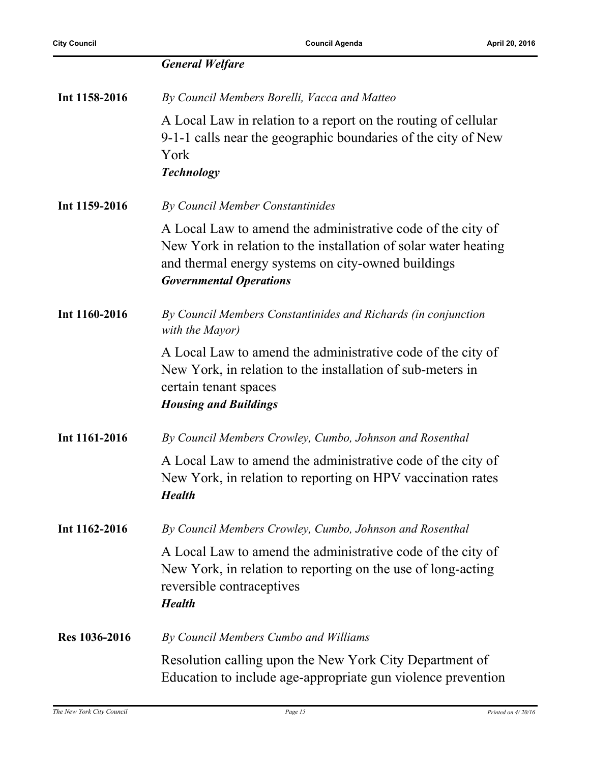|                      | <b>General Welfare</b>                                                                                                                                                                                                 |
|----------------------|------------------------------------------------------------------------------------------------------------------------------------------------------------------------------------------------------------------------|
| Int 1158-2016        | By Council Members Borelli, Vacca and Matteo                                                                                                                                                                           |
|                      | A Local Law in relation to a report on the routing of cellular<br>9-1-1 calls near the geographic boundaries of the city of New<br>York<br><b>Technology</b>                                                           |
| Int 1159-2016        | By Council Member Constantinides                                                                                                                                                                                       |
|                      | A Local Law to amend the administrative code of the city of<br>New York in relation to the installation of solar water heating<br>and thermal energy systems on city-owned buildings<br><b>Governmental Operations</b> |
| Int 1160-2016        | By Council Members Constantinides and Richards (in conjunction<br>with the Mayor)                                                                                                                                      |
|                      | A Local Law to amend the administrative code of the city of<br>New York, in relation to the installation of sub-meters in<br>certain tenant spaces<br><b>Housing and Buildings</b>                                     |
| Int 1161-2016        | By Council Members Crowley, Cumbo, Johnson and Rosenthal                                                                                                                                                               |
|                      | A Local Law to amend the administrative code of the city of<br>New York, in relation to reporting on HPV vaccination rates<br><b>Health</b>                                                                            |
| Int 1162-2016        | By Council Members Crowley, Cumbo, Johnson and Rosenthal                                                                                                                                                               |
|                      | A Local Law to amend the administrative code of the city of<br>New York, in relation to reporting on the use of long-acting<br>reversible contraceptives<br><b>Health</b>                                              |
| <b>Res</b> 1036-2016 | By Council Members Cumbo and Williams                                                                                                                                                                                  |
|                      | Resolution calling upon the New York City Department of<br>Education to include age-appropriate gun violence prevention                                                                                                |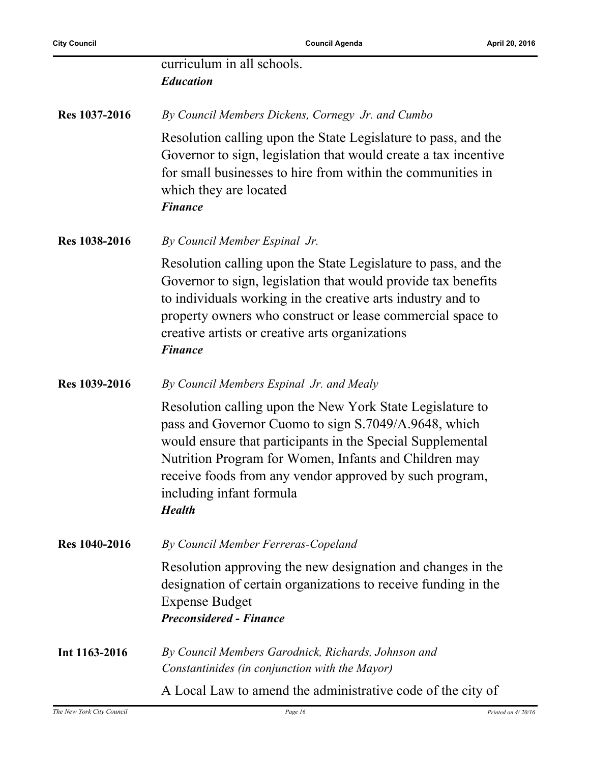**City Council Council Agenda April 20, 2016**

|               | curriculum in all schools.<br><b>Education</b>                                                                                                                                                                                                                                                                                                   |
|---------------|--------------------------------------------------------------------------------------------------------------------------------------------------------------------------------------------------------------------------------------------------------------------------------------------------------------------------------------------------|
| Res 1037-2016 | By Council Members Dickens, Cornegy Jr. and Cumbo                                                                                                                                                                                                                                                                                                |
|               | Resolution calling upon the State Legislature to pass, and the<br>Governor to sign, legislation that would create a tax incentive<br>for small businesses to hire from within the communities in<br>which they are located<br><b>Finance</b>                                                                                                     |
| Res 1038-2016 | By Council Member Espinal Jr.                                                                                                                                                                                                                                                                                                                    |
|               | Resolution calling upon the State Legislature to pass, and the<br>Governor to sign, legislation that would provide tax benefits<br>to individuals working in the creative arts industry and to<br>property owners who construct or lease commercial space to<br>creative artists or creative arts organizations<br><b>Finance</b>                |
| Res 1039-2016 | By Council Members Espinal Jr. and Mealy                                                                                                                                                                                                                                                                                                         |
|               | Resolution calling upon the New York State Legislature to<br>pass and Governor Cuomo to sign S.7049/A.9648, which<br>would ensure that participants in the Special Supplemental<br>Nutrition Program for Women, Infants and Children may<br>receive foods from any vendor approved by such program,<br>including infant formula<br><b>Health</b> |
| Res 1040-2016 | By Council Member Ferreras-Copeland                                                                                                                                                                                                                                                                                                              |
|               | Resolution approving the new designation and changes in the<br>designation of certain organizations to receive funding in the<br><b>Expense Budget</b><br><b>Preconsidered - Finance</b>                                                                                                                                                         |
| Int 1163-2016 | By Council Members Garodnick, Richards, Johnson and<br>Constantinides (in conjunction with the Mayor)                                                                                                                                                                                                                                            |
|               | A Local Law to amend the administrative code of the city of                                                                                                                                                                                                                                                                                      |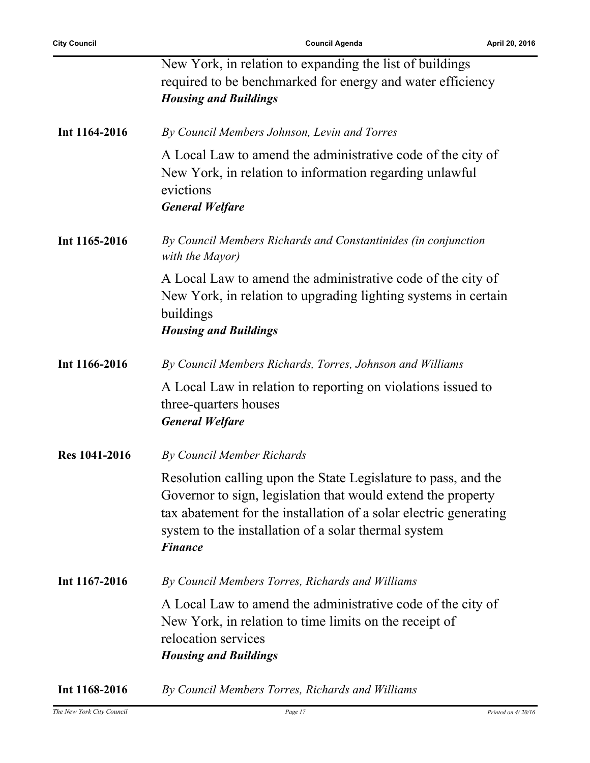j.

|                      | New York, in relation to expanding the list of buildings<br>required to be benchmarked for energy and water efficiency<br><b>Housing and Buildings</b>                                                                                                                        |
|----------------------|-------------------------------------------------------------------------------------------------------------------------------------------------------------------------------------------------------------------------------------------------------------------------------|
| Int 1164-2016        | By Council Members Johnson, Levin and Torres                                                                                                                                                                                                                                  |
|                      | A Local Law to amend the administrative code of the city of<br>New York, in relation to information regarding unlawful<br>evictions<br><b>General Welfare</b>                                                                                                                 |
| Int 1165-2016        | By Council Members Richards and Constantinides (in conjunction<br>with the Mayor)                                                                                                                                                                                             |
|                      | A Local Law to amend the administrative code of the city of<br>New York, in relation to upgrading lighting systems in certain<br>buildings<br><b>Housing and Buildings</b>                                                                                                    |
| Int 1166-2016        | By Council Members Richards, Torres, Johnson and Williams                                                                                                                                                                                                                     |
|                      | A Local Law in relation to reporting on violations issued to<br>three-quarters houses<br><b>General Welfare</b>                                                                                                                                                               |
| <b>Res</b> 1041-2016 | <b>By Council Member Richards</b>                                                                                                                                                                                                                                             |
|                      | Resolution calling upon the State Legislature to pass, and the<br>Governor to sign, legislation that would extend the property<br>tax abatement for the installation of a solar electric generating<br>system to the installation of a solar thermal system<br><b>Finance</b> |
| Int 1167-2016        | By Council Members Torres, Richards and Williams                                                                                                                                                                                                                              |
|                      | A Local Law to amend the administrative code of the city of<br>New York, in relation to time limits on the receipt of<br>relocation services<br><b>Housing and Buildings</b>                                                                                                  |
| Int 1168-2016        | By Council Members Torres, Richards and Williams                                                                                                                                                                                                                              |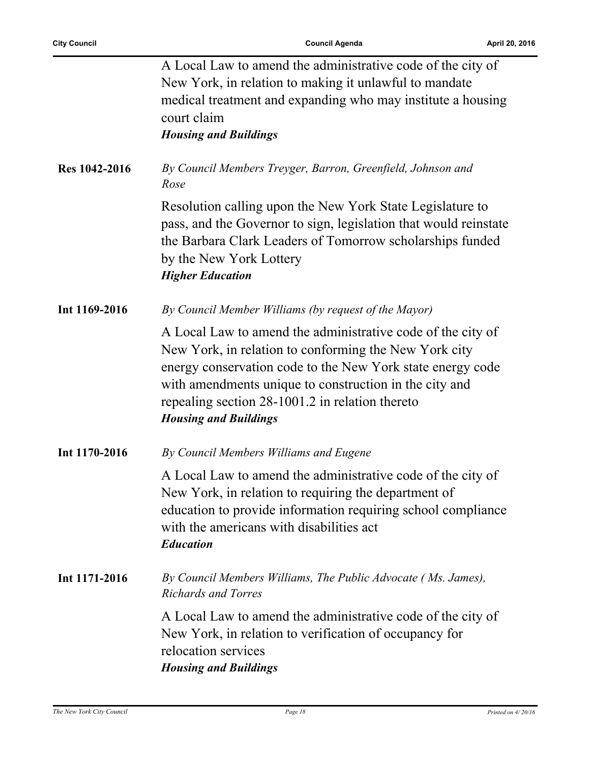l,

|                      | A Local Law to amend the administrative code of the city of<br>New York, in relation to making it unlawful to mandate<br>medical treatment and expanding who may institute a housing<br>court claim<br><b>Housing and Buildings</b>                                                                                             |
|----------------------|---------------------------------------------------------------------------------------------------------------------------------------------------------------------------------------------------------------------------------------------------------------------------------------------------------------------------------|
| <b>Res</b> 1042-2016 | By Council Members Treyger, Barron, Greenfield, Johnson and<br>Rose                                                                                                                                                                                                                                                             |
|                      | Resolution calling upon the New York State Legislature to<br>pass, and the Governor to sign, legislation that would reinstate<br>the Barbara Clark Leaders of Tomorrow scholarships funded<br>by the New York Lottery<br><b>Higher Education</b>                                                                                |
| Int 1169-2016        | By Council Member Williams (by request of the Mayor)                                                                                                                                                                                                                                                                            |
|                      | A Local Law to amend the administrative code of the city of<br>New York, in relation to conforming the New York city<br>energy conservation code to the New York state energy code<br>with amendments unique to construction in the city and<br>repealing section 28-1001.2 in relation thereto<br><b>Housing and Buildings</b> |
| Int 1170-2016        | By Council Members Williams and Eugene                                                                                                                                                                                                                                                                                          |
|                      | A Local Law to amend the administrative code of the city of<br>New York, in relation to requiring the department of<br>education to provide information requiring school compliance<br>with the americans with disabilities act<br><b>Education</b>                                                                             |
| Int 1171-2016        | By Council Members Williams, The Public Advocate (Ms. James),<br><b>Richards and Torres</b>                                                                                                                                                                                                                                     |
|                      | A Local Law to amend the administrative code of the city of<br>New York, in relation to verification of occupancy for<br>relocation services<br><b>Housing and Buildings</b>                                                                                                                                                    |